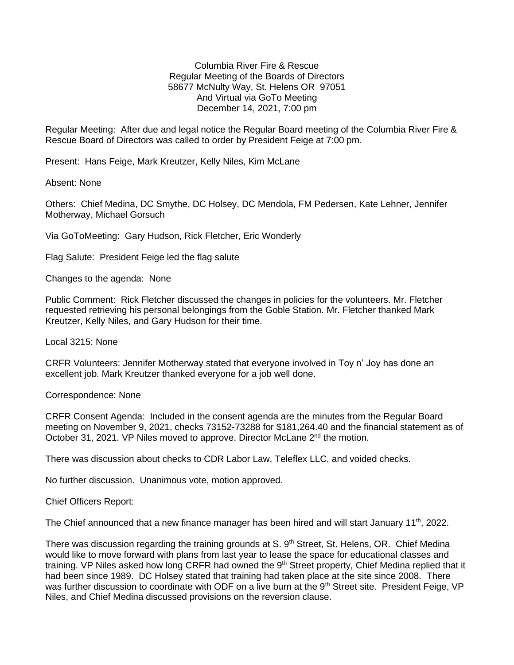Columbia River Fire & Rescue Regular Meeting of the Boards of Directors 58677 McNulty Way, St. Helens OR 97051 And Virtual via GoTo Meeting December 14, 2021, 7:00 pm

Regular Meeting: After due and legal notice the Regular Board meeting of the Columbia River Fire & Rescue Board of Directors was called to order by President Feige at 7:00 pm.

Present: Hans Feige, Mark Kreutzer, Kelly Niles, Kim McLane

Absent: None

Others: Chief Medina, DC Smythe, DC Holsey, DC Mendola, FM Pedersen, Kate Lehner, Jennifer Motherway, Michael Gorsuch

Via GoToMeeting: Gary Hudson, Rick Fletcher, Eric Wonderly

Flag Salute: President Feige led the flag salute

Changes to the agenda: None

Public Comment: Rick Fletcher discussed the changes in policies for the volunteers. Mr. Fletcher requested retrieving his personal belongings from the Goble Station. Mr. Fletcher thanked Mark Kreutzer, Kelly Niles, and Gary Hudson for their time.

Local 3215: None

CRFR Volunteers: Jennifer Motherway stated that everyone involved in Toy n' Joy has done an excellent job. Mark Kreutzer thanked everyone for a job well done.

Correspondence: None

CRFR Consent Agenda: Included in the consent agenda are the minutes from the Regular Board meeting on November 9, 2021, checks 73152-73288 for \$181,264.40 and the financial statement as of October 31, 2021. VP Niles moved to approve. Director McLane 2<sup>nd</sup> the motion.

There was discussion about checks to CDR Labor Law, Teleflex LLC, and voided checks.

No further discussion. Unanimous vote, motion approved.

Chief Officers Report:

The Chief announced that a new finance manager has been hired and will start January  $11<sup>th</sup>$ , 2022.

There was discussion regarding the training grounds at S. 9<sup>th</sup> Street, St. Helens, OR. Chief Medina would like to move forward with plans from last year to lease the space for educational classes and training. VP Niles asked how long CRFR had owned the 9<sup>th</sup> Street property, Chief Medina replied that it had been since 1989. DC Holsey stated that training had taken place at the site since 2008. There was further discussion to coordinate with ODF on a live burn at the 9<sup>th</sup> Street site. President Feige, VP Niles, and Chief Medina discussed provisions on the reversion clause.